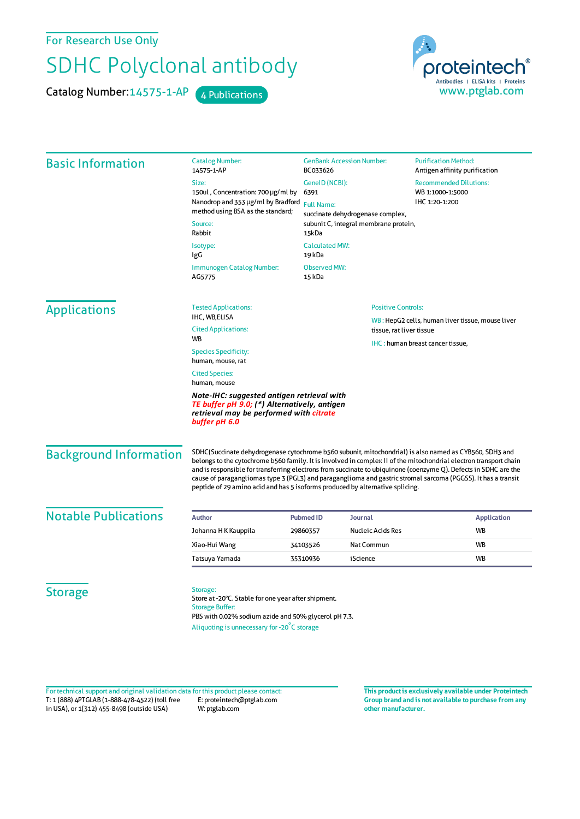For Research Use Only

## SDHC Polyclonal antibody

Catalog Number: 14575-1-AP 4 Publications



| <b>Basic Information</b> | <b>Catalog Number:</b><br>14575-1-AP                                                                                                                                                                                                                | <b>GenBank Accession Number:</b><br>BC033626<br>GenelD (NCBI): |                                       | <b>Purification Method:</b><br>Antigen affinity purification                                                     |                               |                                                                                                                                                                                                                                                                                                                                                                                                                                                                                                                                                   |                  |         |                    |
|--------------------------|-----------------------------------------------------------------------------------------------------------------------------------------------------------------------------------------------------------------------------------------------------|----------------------------------------------------------------|---------------------------------------|------------------------------------------------------------------------------------------------------------------|-------------------------------|---------------------------------------------------------------------------------------------------------------------------------------------------------------------------------------------------------------------------------------------------------------------------------------------------------------------------------------------------------------------------------------------------------------------------------------------------------------------------------------------------------------------------------------------------|------------------|---------|--------------------|
|                          | Size:<br>150ul, Concentration: 700 µg/ml by<br>Nanodrop and 353 µg/ml by Bradford<br>method using BSA as the standard;                                                                                                                              |                                                                |                                       | <b>Recommended Dilutions:</b>                                                                                    |                               |                                                                                                                                                                                                                                                                                                                                                                                                                                                                                                                                                   |                  |         |                    |
|                          |                                                                                                                                                                                                                                                     | 6391                                                           |                                       | WB 1:1000-1:5000<br>IHC 1:20-1:200                                                                               |                               |                                                                                                                                                                                                                                                                                                                                                                                                                                                                                                                                                   |                  |         |                    |
|                          |                                                                                                                                                                                                                                                     | <b>Full Name:</b>                                              | succinate dehydrogenase complex,      |                                                                                                                  |                               |                                                                                                                                                                                                                                                                                                                                                                                                                                                                                                                                                   |                  |         |                    |
|                          | Source:<br>Rabbit                                                                                                                                                                                                                                   | 15kDa                                                          | subunit C, integral membrane protein, |                                                                                                                  |                               |                                                                                                                                                                                                                                                                                                                                                                                                                                                                                                                                                   |                  |         |                    |
|                          | Isotype:<br>IgG                                                                                                                                                                                                                                     | <b>Calculated MW:</b><br>19 kDa                                |                                       |                                                                                                                  |                               |                                                                                                                                                                                                                                                                                                                                                                                                                                                                                                                                                   |                  |         |                    |
|                          | Immunogen Catalog Number:<br>AG5775                                                                                                                                                                                                                 | <b>Observed MW:</b><br>15 kDa                                  |                                       |                                                                                                                  |                               |                                                                                                                                                                                                                                                                                                                                                                                                                                                                                                                                                   |                  |         |                    |
| <b>Applications</b>      | <b>Tested Applications:</b>                                                                                                                                                                                                                         | <b>Positive Controls:</b>                                      |                                       |                                                                                                                  |                               |                                                                                                                                                                                                                                                                                                                                                                                                                                                                                                                                                   |                  |         |                    |
|                          | IHC, WB,ELISA<br><b>Cited Applications:</b>                                                                                                                                                                                                         |                                                                |                                       | WB: HepG2 cells, human liver tissue, mouse liver<br>tissue, rat liver tissue<br>IHC: human breast cancer tissue, |                               |                                                                                                                                                                                                                                                                                                                                                                                                                                                                                                                                                   |                  |         |                    |
|                          | <b>WB</b>                                                                                                                                                                                                                                           |                                                                |                                       |                                                                                                                  |                               |                                                                                                                                                                                                                                                                                                                                                                                                                                                                                                                                                   |                  |         |                    |
|                          | <b>Species Specificity:</b><br>human, mouse, rat<br><b>Cited Species:</b><br>human, mouse<br>Note-IHC: suggested antigen retrieval with<br>TE buffer pH 9.0; (*) Alternatively, antigen<br>retrieval may be performed with citrate<br>buffer pH 6.0 |                                                                |                                       |                                                                                                                  |                               |                                                                                                                                                                                                                                                                                                                                                                                                                                                                                                                                                   |                  |         |                    |
|                          |                                                                                                                                                                                                                                                     |                                                                |                                       |                                                                                                                  | <b>Background Information</b> | SDHC(Succinate dehydrogenase cytochrome b560 subunit, mitochondrial) is also named as CYB560, SDH3 and<br>belongs to the cytochrome b560 family. It is involved in complex II of the mitochondrial electron transport chain<br>and is responsible for transferring electrons from succinate to ubiquinone (coenzyme Q). Defects in SDHC are the<br>cause of paragangliomas type 3 (PGL3) and paraganglioma and gastric stromal sarcoma (PGGSS). It has a transit<br>peptide of 29 amino acid and has 5 isoforms produced by alternative splicing. |                  |         |                    |
|                          |                                                                                                                                                                                                                                                     |                                                                |                                       |                                                                                                                  | <b>Notable Publications</b>   | <b>Author</b>                                                                                                                                                                                                                                                                                                                                                                                                                                                                                                                                     | <b>Pubmed ID</b> | Journal | <b>Application</b> |
| Johanna H K Kauppila     | 29860357                                                                                                                                                                                                                                            | Nucleic Acids Res                                              | <b>WB</b>                             |                                                                                                                  |                               |                                                                                                                                                                                                                                                                                                                                                                                                                                                                                                                                                   |                  |         |                    |
| Xiao-Hui Wang            | 34103526                                                                                                                                                                                                                                            | Nat Commun                                                     | <b>WB</b>                             |                                                                                                                  |                               |                                                                                                                                                                                                                                                                                                                                                                                                                                                                                                                                                   |                  |         |                    |
| Tatsuya Yamada           | 35310936                                                                                                                                                                                                                                            | iScience                                                       | <b>WB</b>                             |                                                                                                                  |                               |                                                                                                                                                                                                                                                                                                                                                                                                                                                                                                                                                   |                  |         |                    |
| <b>Storage</b>           | Storage:<br>Store at -20°C. Stable for one year after shipment.<br><b>Storage Buffer:</b><br>PBS with 0.02% sodium azide and 50% glycerol pH 7.3.                                                                                                   |                                                                |                                       |                                                                                                                  |                               |                                                                                                                                                                                                                                                                                                                                                                                                                                                                                                                                                   |                  |         |                    |

T: 1 (888) 4PTGLAB (1-888-478-4522) (toll free in USA), or 1(312) 455-8498 (outside USA) E: proteintech@ptglab.com W: ptglab.com Fortechnical support and original validation data forthis product please contact: **This productis exclusively available under Proteintech**

**Group brand and is not available to purchase from any other manufacturer.**